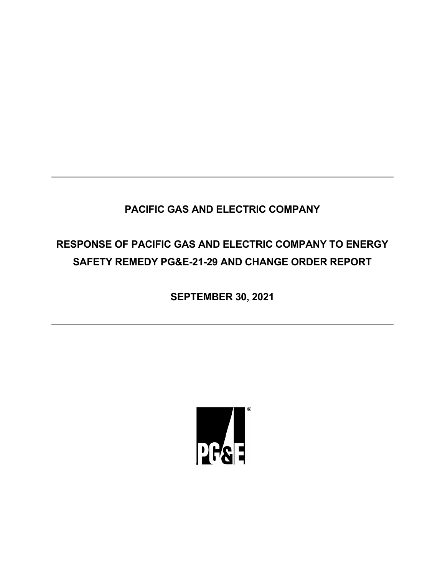# **PACIFIC GAS AND ELECTRIC COMPANY**

# **RESPONSE OF PACIFIC GAS AND ELECTRIC COMPANY TO ENERGY SAFETY REMEDY PG&E-21-29 AND CHANGE ORDER REPORT**

**SEPTEMBER 30, 2021**

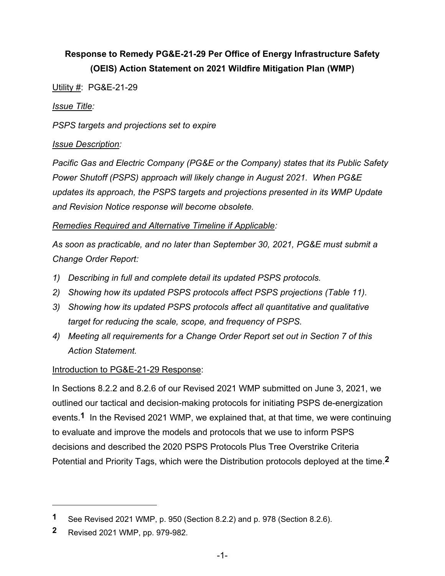# **Response to Remedy PG&E-21-29 Per Office of Energy Infrastructure Safety (OEIS) Action Statement on 2021 Wildfire Mitigation Plan (WMP)**

Utility #: PG&E-21-29

#### *Issue Title:*

*PSPS targets and projections set to expire*

#### *Issue Description:*

*Pacific Gas and Electric Company (PG&E or the Company) states that its Public Safety Power Shutoff (PSPS) approach will likely change in August 2021. When PG&E updates its approach, the PSPS targets and projections presented in its WMP Update and Revision Notice response will become obsolete.*

### *Remedies Required and Alternative Timeline if Applicable:*

*As soon as practicable, and no later than September 30, 2021, PG&E must submit a Change Order Report:*

- *1) Describing in full and complete detail its updated PSPS protocols.*
- *2) Showing how its updated PSPS protocols affect PSPS projections (Table 11).*
- *3) Showing how its updated PSPS protocols affect all quantitative and qualitative target for reducing the scale, scope, and frequency of PSPS.*
- *4) Meeting all requirements for a Change Order Report set out in Section 7 of this Action Statement.*

### Introduction to PG&E-21-29 Response:

In Sections 8.2.2 and 8.2.6 of our Revised 2021 WMP submitted on June 3, 2021, we outlined our tactical and decision-making protocols for initiating PSPS de-energization events.**1** In the Revised 2021 WMP, we explained that, at that time, we were continuing to evaluate and improve the models and protocols that we use to inform PSPS decisions and described the 2020 PSPS Protocols Plus Tree Overstrike Criteria Potential and Priority Tags, which were the Distribution protocols deployed at the time.**2**

**<sup>1</sup>** See Revised 2021 WMP, p. 950 (Section 8.2.2) and p. 978 (Section 8.2.6).

**<sup>2</sup>** Revised 2021 WMP, pp. 979-982.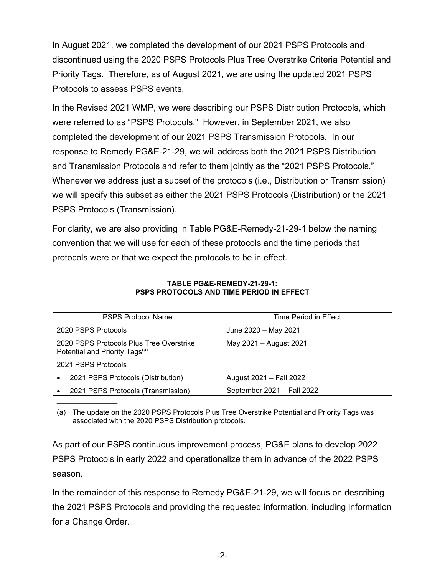In August 2021, we completed the development of our 2021 PSPS Protocols and discontinued using the 2020 PSPS Protocols Plus Tree Overstrike Criteria Potential and Priority Tags. Therefore, as of August 2021, we are using the updated 2021 PSPS Protocols to assess PSPS events.

In the Revised 2021 WMP, we were describing our PSPS Distribution Protocols, which were referred to as "PSPS Protocols." However, in September 2021, we also completed the development of our 2021 PSPS Transmission Protocols. In our response to Remedy PG&E-21-29, we will address both the 2021 PSPS Distribution and Transmission Protocols and refer to them jointly as the "2021 PSPS Protocols." Whenever we address just a subset of the protocols (i.e., Distribution or Transmission) we will specify this subset as either the 2021 PSPS Protocols (Distribution) or the 2021 PSPS Protocols (Transmission).

For clarity, we are also providing in Table PG&E-Remedy-21-29-1 below the naming convention that we will use for each of these protocols and the time periods that protocols were or that we expect the protocols to be in effect.

| <b>PSPS Protocol Name</b>                                                                         | Time Period in Effect      |  |  |
|---------------------------------------------------------------------------------------------------|----------------------------|--|--|
| 2020 PSPS Protocols                                                                               | June 2020 - May 2021       |  |  |
| 2020 PSPS Protocols Plus Tree Overstrike<br>Potential and Priority Tags <sup>(a)</sup>            | May 2021 - August 2021     |  |  |
| 2021 PSPS Protocols                                                                               |                            |  |  |
| 2021 PSPS Protocols (Distribution)<br>$\bullet$                                                   | August 2021 - Fall 2022    |  |  |
| 2021 PSPS Protocols (Transmission)                                                                | September 2021 - Fall 2022 |  |  |
|                                                                                                   |                            |  |  |
| The update on the 2020 PSPS Protocols Plus Tree Overstrike Potential and Priority Tags was<br>(a) |                            |  |  |

#### **TABLE PG&E-REMEDY-21-29-1: PSPS PROTOCOLS AND TIME PERIOD IN EFFECT**

As part of our PSPS continuous improvement process, PG&E plans to develop 2022 PSPS Protocols in early 2022 and operationalize them in advance of the 2022 PSPS season.

associated with the 2020 PSPS Distribution protocols.

In the remainder of this response to Remedy PG&E-21-29, we will focus on describing the 2021 PSPS Protocols and providing the requested information, including information for a Change Order.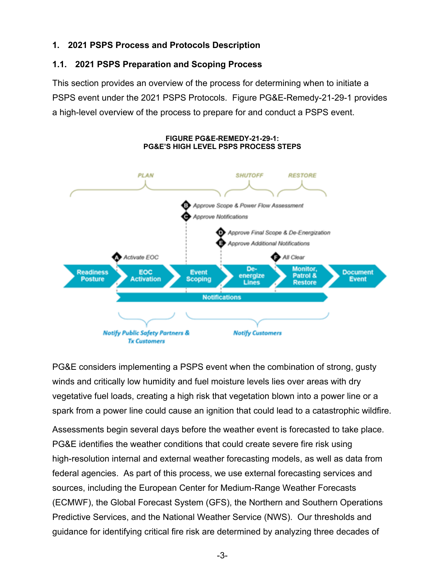# **1. 2021 PSPS Process and Protocols Description**

# **1.1. 2021 PSPS Preparation and Scoping Process**

This section provides an overview of the process for determining when to initiate a PSPS event under the 2021 PSPS Protocols. Figure PG&E-Remedy-21-29-1 provides a high-level overview of the process to prepare for and conduct a PSPS event.



#### **FIGURE PG&E-REMEDY-21-29-1: PG&E'S HIGH LEVEL PSPS PROCESS STEPS**

PG&E considers implementing a PSPS event when the combination of strong, gusty winds and critically low humidity and fuel moisture levels lies over areas with dry vegetative fuel loads, creating a high risk that vegetation blown into a power line or a spark from a power line could cause an ignition that could lead to a catastrophic wildfire.

Assessments begin several days before the weather event is forecasted to take place. PG&E identifies the weather conditions that could create severe fire risk using high-resolution internal and external weather forecasting models, as well as data from federal agencies. As part of this process, we use external forecasting services and sources, including the European Center for Medium-Range Weather Forecasts (ECMWF), the Global Forecast System (GFS), the Northern and Southern Operations Predictive Services, and the National Weather Service (NWS). Our thresholds and guidance for identifying critical fire risk are determined by analyzing three decades of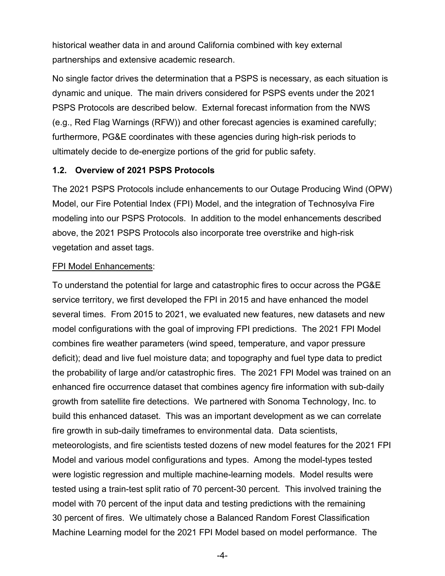historical weather data in and around California combined with key external partnerships and extensive academic research.

No single factor drives the determination that a PSPS is necessary, as each situation is dynamic and unique. The main drivers considered for PSPS events under the 2021 PSPS Protocols are described below. External forecast information from the NWS (e.g., Red Flag Warnings (RFW)) and other forecast agencies is examined carefully; furthermore, PG&E coordinates with these agencies during high-risk periods to ultimately decide to de-energize portions of the grid for public safety.

#### **1.2. Overview of 2021 PSPS Protocols**

The 2021 PSPS Protocols include enhancements to our Outage Producing Wind (OPW) Model, our Fire Potential Index (FPI) Model, and the integration of Technosylva Fire modeling into our PSPS Protocols. In addition to the model enhancements described above, the 2021 PSPS Protocols also incorporate tree overstrike and high-risk vegetation and asset tags.

#### FPI Model Enhancements:

To understand the potential for large and catastrophic fires to occur across the PG&E service territory, we first developed the FPI in 2015 and have enhanced the model several times. From 2015 to 2021, we evaluated new features, new datasets and new model configurations with the goal of improving FPI predictions. The 2021 FPI Model combines fire weather parameters (wind speed, temperature, and vapor pressure deficit); dead and live fuel moisture data; and topography and fuel type data to predict the probability of large and/or catastrophic fires. The 2021 FPI Model was trained on an enhanced fire occurrence dataset that combines agency fire information with sub-daily growth from satellite fire detections. We partnered with Sonoma Technology, Inc. to build this enhanced dataset. This was an important development as we can correlate fire growth in sub-daily timeframes to environmental data. Data scientists, meteorologists, and fire scientists tested dozens of new model features for the 2021 FPI Model and various model configurations and types. Among the model-types tested were logistic regression and multiple machine-learning models. Model results were tested using a train-test split ratio of 70 percent-30 percent. This involved training the model with 70 percent of the input data and testing predictions with the remaining 30 percent of fires. We ultimately chose a Balanced Random Forest Classification Machine Learning model for the 2021 FPI Model based on model performance. The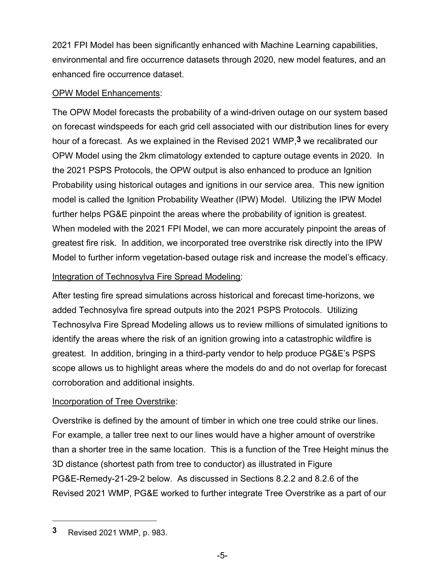2021 FPI Model has been significantly enhanced with Machine Learning capabilities, environmental and fire occurrence datasets through 2020, new model features, and an enhanced fire occurrence dataset.

#### **OPW Model Enhancements:**

The OPW Model forecasts the probability of a wind-driven outage on our system based on forecast windspeeds for each grid cell associated with our distribution lines for every hour of a forecast. As we explained in the Revised 2021 WMP,**3** we recalibrated our OPW Model using the 2km climatology extended to capture outage events in 2020. In the 2021 PSPS Protocols, the OPW output is also enhanced to produce an Ignition Probability using historical outages and ignitions in our service area. This new ignition model is called the Ignition Probability Weather (IPW) Model. Utilizing the IPW Model further helps PG&E pinpoint the areas where the probability of ignition is greatest. When modeled with the 2021 FPI Model, we can more accurately pinpoint the areas of greatest fire risk. In addition, we incorporated tree overstrike risk directly into the IPW Model to further inform vegetation-based outage risk and increase the model's efficacy.

#### Integration of Technosylva Fire Spread Modeling:

After testing fire spread simulations across historical and forecast time-horizons, we added Technosylva fire spread outputs into the 2021 PSPS Protocols. Utilizing Technosylva Fire Spread Modeling allows us to review millions of simulated ignitions to identify the areas where the risk of an ignition growing into a catastrophic wildfire is greatest. In addition, bringing in a third-party vendor to help produce PG&E's PSPS scope allows us to highlight areas where the models do and do not overlap for forecast corroboration and additional insights.

### Incorporation of Tree Overstrike:

Overstrike is defined by the amount of timber in which one tree could strike our lines. For example, a taller tree next to our lines would have a higher amount of overstrike than a shorter tree in the same location. This is a function of the Tree Height minus the 3D distance (shortest path from tree to conductor) as illustrated in Figure PG&E-Remedy-21-29-2 below. As discussed in Sections 8.2.2 and 8.2.6 of the Revised 2021 WMP, PG&E worked to further integrate Tree Overstrike as a part of our

**<sup>3</sup>** Revised 2021 WMP, p. 983.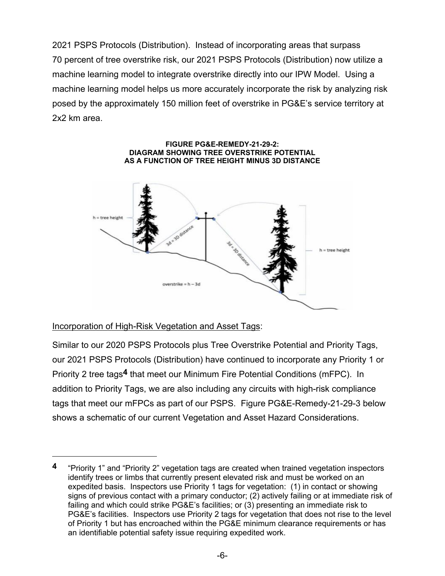2021 PSPS Protocols (Distribution). Instead of incorporating areas that surpass 70 percent of tree overstrike risk, our 2021 PSPS Protocols (Distribution) now utilize a machine learning model to integrate overstrike directly into our IPW Model. Using a machine learning model helps us more accurately incorporate the risk by analyzing risk posed by the approximately 150 million feet of overstrike in PG&E's service territory at 2x2 km area.



### Incorporation of High-Risk Vegetation and Asset Tags:

Similar to our 2020 PSPS Protocols plus Tree Overstrike Potential and Priority Tags, our 2021 PSPS Protocols (Distribution) have continued to incorporate any Priority 1 or Priority 2 tree tags**4** that meet our Minimum Fire Potential Conditions (mFPC). In addition to Priority Tags, we are also including any circuits with high-risk compliance tags that meet our mFPCs as part of our PSPS. Figure PG&E-Remedy-21-29-3 below shows a schematic of our current Vegetation and Asset Hazard Considerations.

**<sup>4</sup>** "Priority 1" and "Priority 2" vegetation tags are created when trained vegetation inspectors identify trees or limbs that currently present elevated risk and must be worked on an expedited basis. Inspectors use Priority 1 tags for vegetation: (1) in contact or showing signs of previous contact with a primary conductor; (2) actively failing or at immediate risk of failing and which could strike PG&E's facilities; or (3) presenting an immediate risk to PG&E's facilities. Inspectors use Priority 2 tags for vegetation that does not rise to the level of Priority 1 but has encroached within the PG&E minimum clearance requirements or has an identifiable potential safety issue requiring expedited work.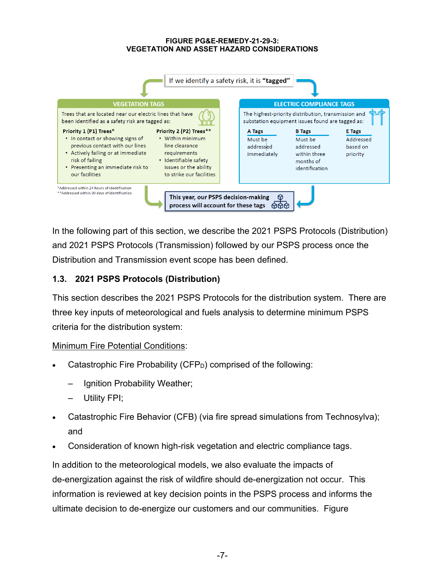#### **FIGURE PG&E-REMEDY-21-29-3: VEGETATION AND ASSET HAZARD CONSIDERATIONS**



In the following part of this section, we describe the 2021 PSPS Protocols (Distribution) and 2021 PSPS Protocols (Transmission) followed by our PSPS process once the Distribution and Transmission event scope has been defined.

# **1.3. 2021 PSPS Protocols (Distribution)**

This section describes the 2021 PSPS Protocols for the distribution system. There are three key inputs of meteorological and fuels analysis to determine minimum PSPS criteria for the distribution system:

### Minimum Fire Potential Conditions:

- Catastrophic Fire Probability (CFP<sub>D</sub>) comprised of the following:
	- Ignition Probability Weather;
	- Utility FPI;
- Catastrophic Fire Behavior (CFB) (via fire spread simulations from Technosylva); and
- Consideration of known high-risk vegetation and electric compliance tags.

In addition to the meteorological models, we also evaluate the impacts of de-energization against the risk of wildfire should de-energization not occur. This information is reviewed at key decision points in the PSPS process and informs the ultimate decision to de-energize our customers and our communities. Figure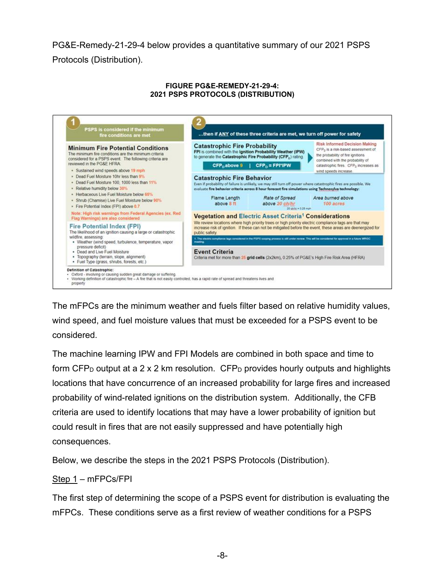PG&E-Remedy-21-29-4 below provides a quantitative summary of our 2021 PSPS Protocols (Distribution).

#### **FIGURE PG&E-REMEDY-21-29-4: 2021 PSPS PROTOCOLS (DISTRIBUTION)**



The mFPCs are the minimum weather and fuels filter based on relative humidity values, wind speed, and fuel moisture values that must be exceeded for a PSPS event to be considered.

The machine learning IPW and FPI Models are combined in both space and time to form CFP<sub>D</sub> output at a 2 x 2 km resolution. CFP<sub>D</sub> provides hourly outputs and highlights locations that have concurrence of an increased probability for large fires and increased probability of wind-related ignitions on the distribution system. Additionally, the CFB criteria are used to identify locations that may have a lower probability of ignition but could result in fires that are not easily suppressed and have potentially high consequences.

Below, we describe the steps in the 2021 PSPS Protocols (Distribution).

#### Step 1 – mFPCs/FPI

The first step of determining the scope of a PSPS event for distribution is evaluating the mFPCs. These conditions serve as a first review of weather conditions for a PSPS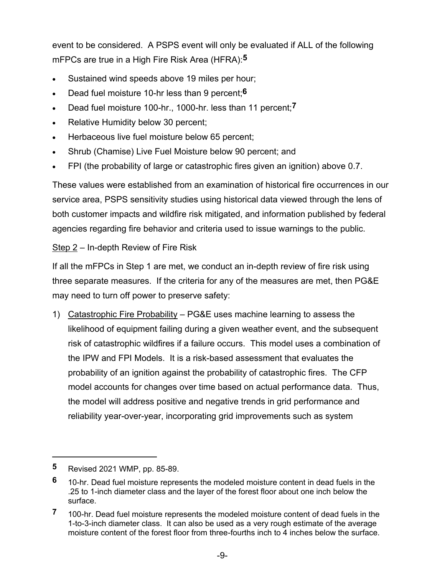event to be considered. A PSPS event will only be evaluated if ALL of the following mFPCs are true in a High Fire Risk Area (HFRA):**5**

- Sustained wind speeds above 19 miles per hour;
- Dead fuel moisture 10-hr less than 9 percent;**6**
- Dead fuel moisture 100-hr., 1000-hr. less than 11 percent;**7**
- Relative Humidity below 30 percent;
- Herbaceous live fuel moisture below 65 percent;
- Shrub (Chamise) Live Fuel Moisture below 90 percent; and
- FPI (the probability of large or catastrophic fires given an ignition) above 0.7.

These values were established from an examination of historical fire occurrences in our service area, PSPS sensitivity studies using historical data viewed through the lens of both customer impacts and wildfire risk mitigated, and information published by federal agencies regarding fire behavior and criteria used to issue warnings to the public.

### Step 2 – In-depth Review of Fire Risk

If all the mFPCs in Step 1 are met, we conduct an in-depth review of fire risk using three separate measures. If the criteria for any of the measures are met, then PG&E may need to turn off power to preserve safety:

1) Catastrophic Fire Probability – PG&E uses machine learning to assess the likelihood of equipment failing during a given weather event, and the subsequent risk of catastrophic wildfires if a failure occurs. This model uses a combination of the IPW and FPI Models. It is a risk-based assessment that evaluates the probability of an ignition against the probability of catastrophic fires. The CFP model accounts for changes over time based on actual performance data. Thus, the model will address positive and negative trends in grid performance and reliability year-over-year, incorporating grid improvements such as system

**<sup>5</sup>** Revised 2021 WMP, pp. 85-89.

**<sup>6</sup>** 10-hr. Dead fuel moisture represents the modeled moisture content in dead fuels in the .25 to 1-inch diameter class and the layer of the forest floor about one inch below the surface.

**<sup>7</sup>** 100-hr. Dead fuel moisture represents the modeled moisture content of dead fuels in the 1-to-3-inch diameter class. It can also be used as a very rough estimate of the average moisture content of the forest floor from three-fourths inch to 4 inches below the surface.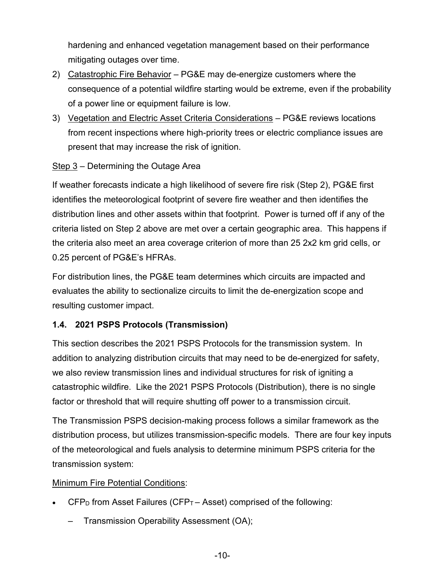hardening and enhanced vegetation management based on their performance mitigating outages over time.

- 2) Catastrophic Fire Behavior PG&E may de-energize customers where the consequence of a potential wildfire starting would be extreme, even if the probability of a power line or equipment failure is low.
- 3) Vegetation and Electric Asset Criteria Considerations PG&E reviews locations from recent inspections where high-priority trees or electric compliance issues are present that may increase the risk of ignition.

# Step 3 – Determining the Outage Area

If weather forecasts indicate a high likelihood of severe fire risk (Step 2), PG&E first identifies the meteorological footprint of severe fire weather and then identifies the distribution lines and other assets within that footprint. Power is turned off if any of the criteria listed on Step 2 above are met over a certain geographic area. This happens if the criteria also meet an area coverage criterion of more than 25 2x2 km grid cells, or 0.25 percent of PG&E's HFRAs.

For distribution lines, the PG&E team determines which circuits are impacted and evaluates the ability to sectionalize circuits to limit the de-energization scope and resulting customer impact.

### **1.4. 2021 PSPS Protocols (Transmission)**

This section describes the 2021 PSPS Protocols for the transmission system. In addition to analyzing distribution circuits that may need to be de-energized for safety, we also review transmission lines and individual structures for risk of igniting a catastrophic wildfire. Like the 2021 PSPS Protocols (Distribution), there is no single factor or threshold that will require shutting off power to a transmission circuit.

The Transmission PSPS decision-making process follows a similar framework as the distribution process, but utilizes transmission-specific models. There are four key inputs of the meteorological and fuels analysis to determine minimum PSPS criteria for the transmission system:

### Minimum Fire Potential Conditions:

- $\mathsf{CFP}_\mathsf{D}$  from Asset Failures ( $\mathsf{CFP}_\mathsf{T}-\mathsf{Asset}$ ) comprised of the following:
	- Transmission Operability Assessment (OA);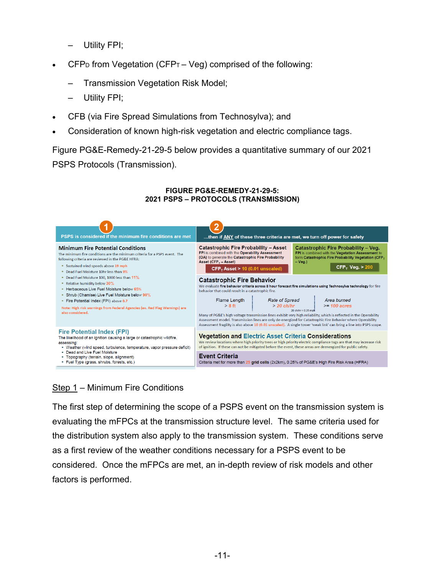- Utility FPI;
- $CFP<sub>D</sub>$  from Vegetation (CFP<sub>T</sub> Veg) comprised of the following:
	- Transmission Vegetation Risk Model;
	- Utility FPI;
- CFB (via Fire Spread Simulations from Technosylva); and
- Consideration of known high-risk vegetation and electric compliance tags.

Figure PG&E-Remedy-21-29-5 below provides a quantitative summary of our 2021

PSPS Protocols (Transmission).



#### **FIGURE PG&E-REMEDY-21-29-5: 2021 PSPS – PROTOCOLS (TRANSMISSION)**

# Step 1 – Minimum Fire Conditions

The first step of determining the scope of a PSPS event on the transmission system is evaluating the mFPCs at the transmission structure level. The same criteria used for the distribution system also apply to the transmission system. These conditions serve as a first review of the weather conditions necessary for a PSPS event to be considered. Once the mFPCs are met, an in-depth review of risk models and other factors is performed.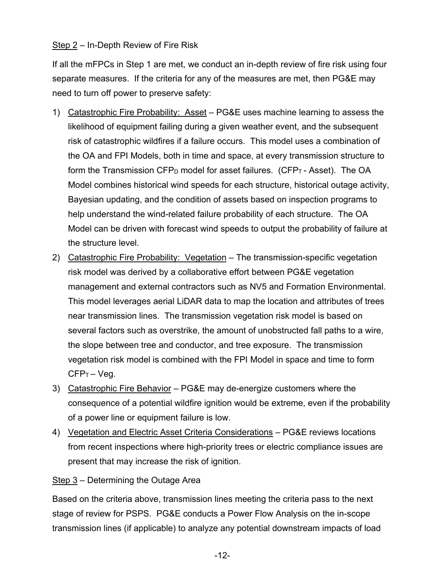### Step 2 – In-Depth Review of Fire Risk

If all the mFPCs in Step 1 are met, we conduct an in-depth review of fire risk using four separate measures. If the criteria for any of the measures are met, then PG&E may need to turn off power to preserve safety:

- 1) Catastrophic Fire Probability: Asset PG&E uses machine learning to assess the likelihood of equipment failing during a given weather event, and the subsequent risk of catastrophic wildfires if a failure occurs. This model uses a combination of the OA and FPI Models, both in time and space, at every transmission structure to form the Transmission  $\text{CFP}_D$  model for asset failures. ( $\text{CFP}_T$ - Asset). The OA Model combines historical wind speeds for each structure, historical outage activity, Bayesian updating, and the condition of assets based on inspection programs to help understand the wind-related failure probability of each structure. The OA Model can be driven with forecast wind speeds to output the probability of failure at the structure level.
- 2) Catastrophic Fire Probability: Vegetation The transmission-specific vegetation risk model was derived by a collaborative effort between PG&E vegetation management and external contractors such as NV5 and Formation Environmental. This model leverages aerial LiDAR data to map the location and attributes of trees near transmission lines. The transmission vegetation risk model is based on several factors such as overstrike, the amount of unobstructed fall paths to a wire, the slope between tree and conductor, and tree exposure. The transmission vegetation risk model is combined with the FPI Model in space and time to form CFP<sub>T</sub> – Veg.
- 3) Catastrophic Fire Behavior PG&E may de-energize customers where the consequence of a potential wildfire ignition would be extreme, even if the probability of a power line or equipment failure is low.
- 4) Vegetation and Electric Asset Criteria Considerations PG&E reviews locations from recent inspections where high-priority trees or electric compliance issues are present that may increase the risk of ignition.

#### Step 3 – Determining the Outage Area

Based on the criteria above, transmission lines meeting the criteria pass to the next stage of review for PSPS. PG&E conducts a Power Flow Analysis on the in-scope transmission lines (if applicable) to analyze any potential downstream impacts of load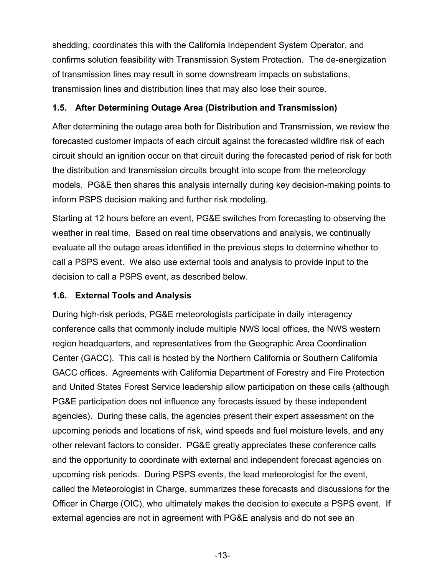shedding, coordinates this with the California Independent System Operator, and confirms solution feasibility with Transmission System Protection. The de-energization of transmission lines may result in some downstream impacts on substations, transmission lines and distribution lines that may also lose their source.

# **1.5. After Determining Outage Area (Distribution and Transmission)**

After determining the outage area both for Distribution and Transmission, we review the forecasted customer impacts of each circuit against the forecasted wildfire risk of each circuit should an ignition occur on that circuit during the forecasted period of risk for both the distribution and transmission circuits brought into scope from the meteorology models. PG&E then shares this analysis internally during key decision-making points to inform PSPS decision making and further risk modeling.

Starting at 12 hours before an event, PG&E switches from forecasting to observing the weather in real time. Based on real time observations and analysis, we continually evaluate all the outage areas identified in the previous steps to determine whether to call a PSPS event. We also use external tools and analysis to provide input to the decision to call a PSPS event, as described below.

### **1.6. External Tools and Analysis**

During high-risk periods, PG&E meteorologists participate in daily interagency conference calls that commonly include multiple NWS local offices, the NWS western region headquarters, and representatives from the Geographic Area Coordination Center (GACC). This call is hosted by the Northern California or Southern California GACC offices. Agreements with California Department of Forestry and Fire Protection and United States Forest Service leadership allow participation on these calls (although PG&E participation does not influence any forecasts issued by these independent agencies). During these calls, the agencies present their expert assessment on the upcoming periods and locations of risk, wind speeds and fuel moisture levels, and any other relevant factors to consider. PG&E greatly appreciates these conference calls and the opportunity to coordinate with external and independent forecast agencies on upcoming risk periods. During PSPS events, the lead meteorologist for the event, called the Meteorologist in Charge, summarizes these forecasts and discussions for the Officer in Charge (OIC), who ultimately makes the decision to execute a PSPS event. If external agencies are not in agreement with PG&E analysis and do not see an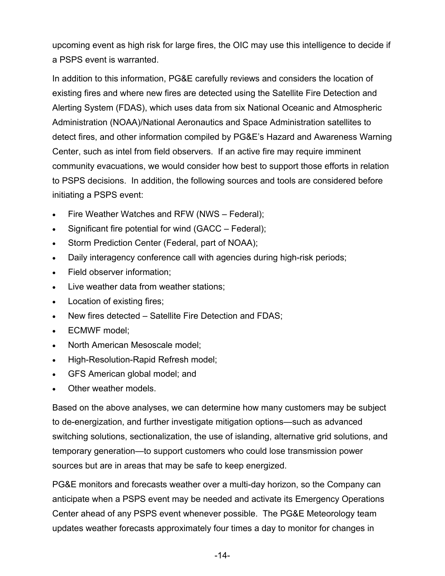upcoming event as high risk for large fires, the OIC may use this intelligence to decide if a PSPS event is warranted.

In addition to this information, PG&E carefully reviews and considers the location of existing fires and where new fires are detected using the Satellite Fire Detection and Alerting System (FDAS), which uses data from six National Oceanic and Atmospheric Administration (NOAA)/National Aeronautics and Space Administration satellites to detect fires, and other information compiled by PG&E's Hazard and Awareness Warning Center, such as intel from field observers. If an active fire may require imminent community evacuations, we would consider how best to support those efforts in relation to PSPS decisions. In addition, the following sources and tools are considered before initiating a PSPS event:

- Fire Weather Watches and RFW (NWS Federal);
- Significant fire potential for wind (GACC Federal);
- Storm Prediction Center (Federal, part of NOAA);
- Daily interagency conference call with agencies during high-risk periods;
- Field observer information;
- Live weather data from weather stations;
- Location of existing fires;
- New fires detected Satellite Fire Detection and FDAS;
- ECMWF model;
- North American Mesoscale model;
- High-Resolution-Rapid Refresh model;
- GFS American global model; and
- Other weather models.

Based on the above analyses, we can determine how many customers may be subject to de-energization, and further investigate mitigation options—such as advanced switching solutions, sectionalization, the use of islanding, alternative grid solutions, and temporary generation—to support customers who could lose transmission power sources but are in areas that may be safe to keep energized.

PG&E monitors and forecasts weather over a multi-day horizon, so the Company can anticipate when a PSPS event may be needed and activate its Emergency Operations Center ahead of any PSPS event whenever possible. The PG&E Meteorology team updates weather forecasts approximately four times a day to monitor for changes in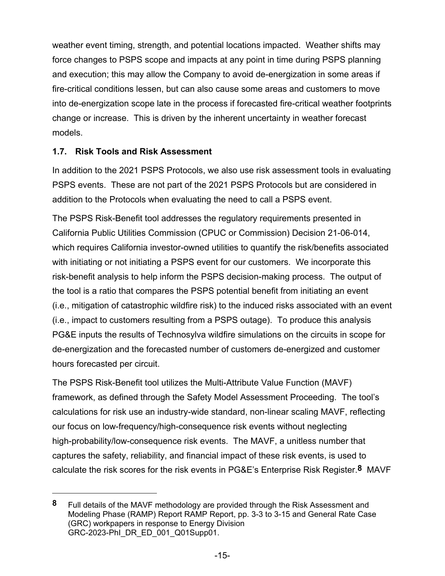weather event timing, strength, and potential locations impacted. Weather shifts may force changes to PSPS scope and impacts at any point in time during PSPS planning and execution; this may allow the Company to avoid de-energization in some areas if fire-critical conditions lessen, but can also cause some areas and customers to move into de-energization scope late in the process if forecasted fire-critical weather footprints change or increase. This is driven by the inherent uncertainty in weather forecast models.

# **1.7. Risk Tools and Risk Assessment**

In addition to the 2021 PSPS Protocols, we also use risk assessment tools in evaluating PSPS events. These are not part of the 2021 PSPS Protocols but are considered in addition to the Protocols when evaluating the need to call a PSPS event.

The PSPS Risk-Benefit tool addresses the regulatory requirements presented in California Public Utilities Commission (CPUC or Commission) Decision 21-06-014, which requires California investor-owned utilities to quantify the risk/benefits associated with initiating or not initiating a PSPS event for our customers. We incorporate this risk-benefit analysis to help inform the PSPS decision-making process. The output of the tool is a ratio that compares the PSPS potential benefit from initiating an event (i.e., mitigation of catastrophic wildfire risk) to the induced risks associated with an event (i.e., impact to customers resulting from a PSPS outage). To produce this analysis PG&E inputs the results of Technosylva wildfire simulations on the circuits in scope for de-energization and the forecasted number of customers de-energized and customer hours forecasted per circuit.

The PSPS Risk-Benefit tool utilizes the Multi-Attribute Value Function (MAVF) framework, as defined through the Safety Model Assessment Proceeding. The tool's calculations for risk use an industry-wide standard, non-linear scaling MAVF, reflecting our focus on low-frequency/high-consequence risk events without neglecting high-probability/low-consequence risk events. The MAVF, a unitless number that captures the safety, reliability, and financial impact of these risk events, is used to calculate the risk scores for the risk events in PG&E's Enterprise Risk Register.**8** MAVF

**<sup>8</sup>** Full details of the MAVF methodology are provided through the Risk Assessment and Modeling Phase (RAMP) Report RAMP Report, pp. 3-3 to 3-15 and General Rate Case (GRC) workpapers in response to Energy Division GRC-2023-PhI\_DR\_ED\_001\_Q01Supp01.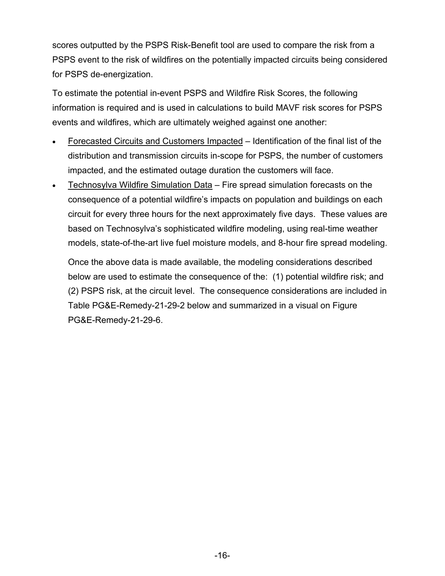scores outputted by the PSPS Risk-Benefit tool are used to compare the risk from a PSPS event to the risk of wildfires on the potentially impacted circuits being considered for PSPS de-energization.

To estimate the potential in-event PSPS and Wildfire Risk Scores, the following information is required and is used in calculations to build MAVF risk scores for PSPS events and wildfires, which are ultimately weighed against one another:

- Forecasted Circuits and Customers Impacted Identification of the final list of the distribution and transmission circuits in-scope for PSPS, the number of customers impacted, and the estimated outage duration the customers will face.
- Technosylva Wildfire Simulation Data Fire spread simulation forecasts on the consequence of a potential wildfire's impacts on population and buildings on each circuit for every three hours for the next approximately five days. These values are based on Technosylva's sophisticated wildfire modeling, using real-time weather models, state-of-the-art live fuel moisture models, and 8-hour fire spread modeling.

Once the above data is made available, the modeling considerations described below are used to estimate the consequence of the: (1) potential wildfire risk; and (2) PSPS risk, at the circuit level. The consequence considerations are included in Table PG&E-Remedy-21-29-2 below and summarized in a visual on Figure PG&E-Remedy-21-29-6.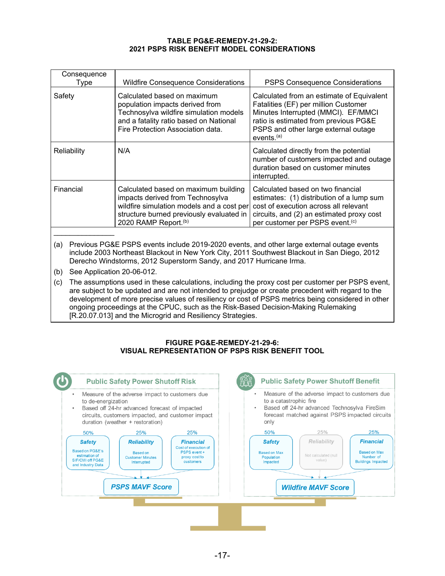#### **TABLE PG&E-REMEDY-21-29-2: 2021 PSPS RISK BENEFIT MODEL CONSIDERATIONS**

| Consequence<br>Type | <b>Wildfire Consequence Considerations</b>                                                                                                                                                            | <b>PSPS Consequence Considerations</b>                                                                                                                                                                                              |
|---------------------|-------------------------------------------------------------------------------------------------------------------------------------------------------------------------------------------------------|-------------------------------------------------------------------------------------------------------------------------------------------------------------------------------------------------------------------------------------|
| Safety              | Calculated based on maximum<br>population impacts derived from<br>Technosylva wildfire simulation models<br>and a fatality ratio based on National<br>Fire Protection Association data.               | Calculated from an estimate of Equivalent<br>Fatalities (EF) per million Customer<br>Minutes Interrupted (MMCI). EF/MMCI<br>ratio is estimated from previous PG&E<br>PSPS and other large external outage<br>events. <sup>(a)</sup> |
| Reliability         | N/A                                                                                                                                                                                                   | Calculated directly from the potential<br>number of customers impacted and outage<br>duration based on customer minutes<br>interrupted.                                                                                             |
| Financial           | Calculated based on maximum building<br>impacts derived from Technosylva<br>wildfire simulation models and a cost per<br>structure burned previously evaluated in<br>2020 RAMP Report. <sup>(b)</sup> | Calculated based on two financial<br>estimates: (1) distribution of a lump sum<br>cost of execution across all relevant<br>circuits, and (2) an estimated proxy cost<br>per customer per PSPS event. <sup>(c)</sup>                 |
|                     |                                                                                                                                                                                                       |                                                                                                                                                                                                                                     |

- (a) Previous PG&E PSPS events include 2019-2020 events, and other large external outage events include 2003 Northeast Blackout in New York City, 2011 Southwest Blackout in San Diego, 2012 Derecho Windstorms, 2012 Superstorm Sandy, and 2017 Hurricane Irma.
- (b) See Application 20-06-012.
- (c) The assumptions used in these calculations, including the proxy cost per customer per PSPS event, are subject to be updated and are not intended to prejudge or create precedent with regard to the development of more precise values of resiliency or cost of PSPS metrics being considered in other ongoing proceedings at the CPUC, such as the Risk-Based Decision-Making Rulemaking [R.20.07.013] and the Microgrid and Resiliency Strategies.

#### **FIGURE PG&E-REMEDY-21-29-6: VISUAL REPRESENTATION OF PSPS RISK BENEFIT TOOL**

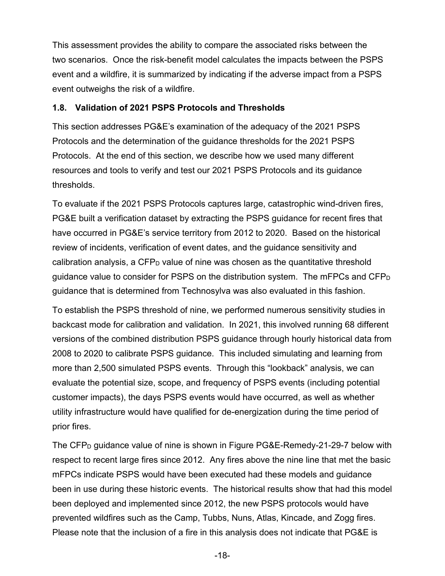This assessment provides the ability to compare the associated risks between the two scenarios. Once the risk-benefit model calculates the impacts between the PSPS event and a wildfire, it is summarized by indicating if the adverse impact from a PSPS event outweighs the risk of a wildfire.

#### **1.8. Validation of 2021 PSPS Protocols and Thresholds**

This section addresses PG&E's examination of the adequacy of the 2021 PSPS Protocols and the determination of the guidance thresholds for the 2021 PSPS Protocols. At the end of this section, we describe how we used many different resources and tools to verify and test our 2021 PSPS Protocols and its guidance thresholds.

To evaluate if the 2021 PSPS Protocols captures large, catastrophic wind-driven fires, PG&E built a verification dataset by extracting the PSPS guidance for recent fires that have occurred in PG&E's service territory from 2012 to 2020. Based on the historical review of incidents, verification of event dates, and the guidance sensitivity and calibration analysis, a CFP<sub>D</sub> value of nine was chosen as the quantitative threshold guidance value to consider for PSPS on the distribution system. The mFPCs and CFP<sup>D</sup> guidance that is determined from Technosylva was also evaluated in this fashion.

To establish the PSPS threshold of nine, we performed numerous sensitivity studies in backcast mode for calibration and validation. In 2021, this involved running 68 different versions of the combined distribution PSPS guidance through hourly historical data from 2008 to 2020 to calibrate PSPS guidance. This included simulating and learning from more than 2,500 simulated PSPS events. Through this "lookback" analysis, we can evaluate the potential size, scope, and frequency of PSPS events (including potential customer impacts), the days PSPS events would have occurred, as well as whether utility infrastructure would have qualified for de-energization during the time period of prior fires.

The CFP<sub>D</sub> guidance value of nine is shown in Figure PG&E-Remedy-21-29-7 below with respect to recent large fires since 2012. Any fires above the nine line that met the basic mFPCs indicate PSPS would have been executed had these models and guidance been in use during these historic events. The historical results show that had this model been deployed and implemented since 2012, the new PSPS protocols would have prevented wildfires such as the Camp, Tubbs, Nuns, Atlas, Kincade, and Zogg fires. Please note that the inclusion of a fire in this analysis does not indicate that PG&E is

-18-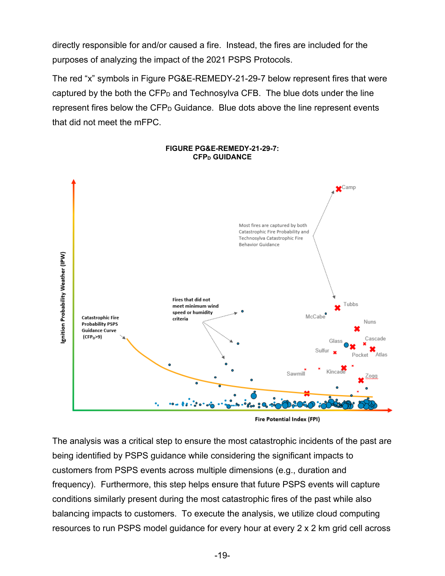directly responsible for and/or caused a fire. Instead, the fires are included for the purposes of analyzing the impact of the 2021 PSPS Protocols.

The red "x" symbols in Figure PG&E-REMEDY-21-29-7 below represent fires that were captured by the both the CFP<sub>D</sub> and Technosylva CFB. The blue dots under the line represent fires below the  $CFP<sub>D</sub>$  Guidance. Blue dots above the line represent events that did not meet the mFPC.



#### **FIGURE PG&E-REMEDY-21-29-7: CFP<sup>D</sup> GUIDANCE**

Fire Potential Index (FPI)

The analysis was a critical step to ensure the most catastrophic incidents of the past are being identified by PSPS guidance while considering the significant impacts to customers from PSPS events across multiple dimensions (e.g., duration and frequency). Furthermore, this step helps ensure that future PSPS events will capture conditions similarly present during the most catastrophic fires of the past while also balancing impacts to customers. To execute the analysis, we utilize cloud computing resources to run PSPS model guidance for every hour at every 2 x 2 km grid cell across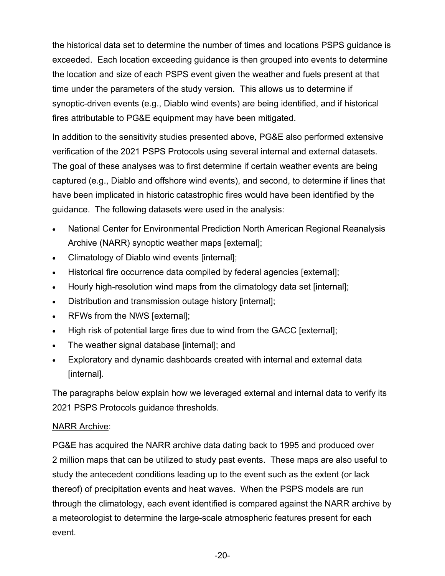the historical data set to determine the number of times and locations PSPS guidance is exceeded. Each location exceeding guidance is then grouped into events to determine the location and size of each PSPS event given the weather and fuels present at that time under the parameters of the study version. This allows us to determine if synoptic-driven events (e.g., Diablo wind events) are being identified, and if historical fires attributable to PG&E equipment may have been mitigated.

In addition to the sensitivity studies presented above, PG&E also performed extensive verification of the 2021 PSPS Protocols using several internal and external datasets. The goal of these analyses was to first determine if certain weather events are being captured (e.g., Diablo and offshore wind events), and second, to determine if lines that have been implicated in historic catastrophic fires would have been identified by the guidance. The following datasets were used in the analysis:

- National Center for Environmental Prediction North American Regional Reanalysis Archive (NARR) synoptic weather maps [external];
- Climatology of Diablo wind events [internal];
- Historical fire occurrence data compiled by federal agencies [external];
- Hourly high-resolution wind maps from the climatology data set [internal];
- Distribution and transmission outage history [internal];
- RFWs from the NWS [external];
- High risk of potential large fires due to wind from the GACC [external];
- The weather signal database [internal]; and
- Exploratory and dynamic dashboards created with internal and external data [internal].

The paragraphs below explain how we leveraged external and internal data to verify its 2021 PSPS Protocols guidance thresholds.

#### NARR Archive:

PG&E has acquired the NARR archive data dating back to 1995 and produced over 2 million maps that can be utilized to study past events. These maps are also useful to study the antecedent conditions leading up to the event such as the extent (or lack thereof) of precipitation events and heat waves. When the PSPS models are run through the climatology, each event identified is compared against the NARR archive by a meteorologist to determine the large-scale atmospheric features present for each event.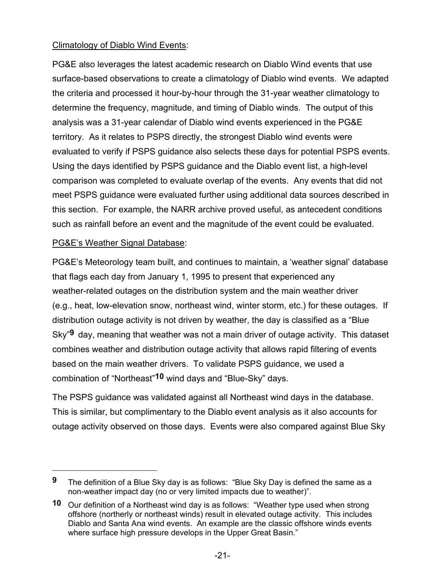# Climatology of Diablo Wind Events:

PG&E also leverages the latest academic research on Diablo Wind events that use surface-based observations to create a climatology of Diablo wind events. We adapted the criteria and processed it hour-by-hour through the 31-year weather climatology to determine the frequency, magnitude, and timing of Diablo winds. The output of this analysis was a 31-year calendar of Diablo wind events experienced in the PG&E territory. As it relates to PSPS directly, the strongest Diablo wind events were evaluated to verify if PSPS guidance also selects these days for potential PSPS events. Using the days identified by PSPS guidance and the Diablo event list, a high-level comparison was completed to evaluate overlap of the events. Any events that did not meet PSPS guidance were evaluated further using additional data sources described in this section. For example, the NARR archive proved useful, as antecedent conditions such as rainfall before an event and the magnitude of the event could be evaluated.

### PG&E's Weather Signal Database:

PG&E's Meteorology team built, and continues to maintain, a 'weather signal' database that flags each day from January 1, 1995 to present that experienced any weather-related outages on the distribution system and the main weather driver (e.g., heat, low-elevation snow, northeast wind, winter storm, etc.) for these outages. If distribution outage activity is not driven by weather, the day is classified as a "Blue Sky"**9** day, meaning that weather was not a main driver of outage activity. This dataset combines weather and distribution outage activity that allows rapid filtering of events based on the main weather drivers. To validate PSPS guidance, we used a combination of "Northeast"**10** wind days and "Blue-Sky" days.

The PSPS guidance was validated against all Northeast wind days in the database. This is similar, but complimentary to the Diablo event analysis as it also accounts for outage activity observed on those days. Events were also compared against Blue Sky

**<sup>9</sup>** The definition of a Blue Sky day is as follows: "Blue Sky Day is defined the same as a non-weather impact day (no or very limited impacts due to weather)".

**<sup>10</sup>** Our definition of a Northeast wind day is as follows: "Weather type used when strong offshore (northerly or northeast winds) result in elevated outage activity. This includes Diablo and Santa Ana wind events. An example are the classic offshore winds events where surface high pressure develops in the Upper Great Basin."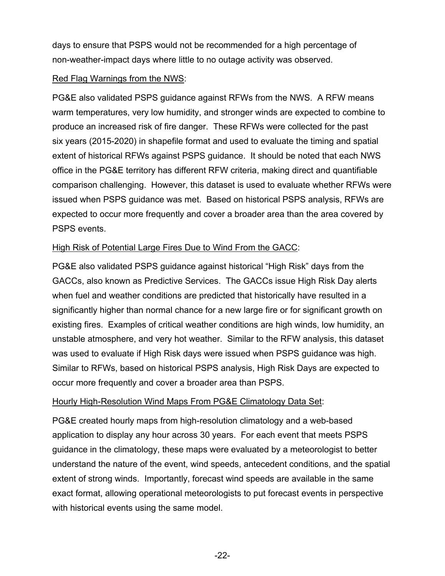days to ensure that PSPS would not be recommended for a high percentage of non-weather-impact days where little to no outage activity was observed.

#### Red Flag Warnings from the NWS:

PG&E also validated PSPS guidance against RFWs from the NWS. A RFW means warm temperatures, very low humidity, and stronger winds are expected to combine to produce an increased risk of fire danger. These RFWs were collected for the past six years (2015-2020) in shapefile format and used to evaluate the timing and spatial extent of historical RFWs against PSPS guidance. It should be noted that each NWS office in the PG&E territory has different RFW criteria, making direct and quantifiable comparison challenging. However, this dataset is used to evaluate whether RFWs were issued when PSPS guidance was met. Based on historical PSPS analysis, RFWs are expected to occur more frequently and cover a broader area than the area covered by PSPS events.

### High Risk of Potential Large Fires Due to Wind From the GACC:

PG&E also validated PSPS guidance against historical "High Risk" days from the GACCs, also known as Predictive Services. The GACCs issue High Risk Day alerts when fuel and weather conditions are predicted that historically have resulted in a significantly higher than normal chance for a new large fire or for significant growth on existing fires. Examples of critical weather conditions are high winds, low humidity, an unstable atmosphere, and very hot weather. Similar to the RFW analysis, this dataset was used to evaluate if High Risk days were issued when PSPS guidance was high. Similar to RFWs, based on historical PSPS analysis, High Risk Days are expected to occur more frequently and cover a broader area than PSPS.

#### Hourly High-Resolution Wind Maps From PG&E Climatology Data Set:

PG&E created hourly maps from high-resolution climatology and a web-based application to display any hour across 30 years. For each event that meets PSPS guidance in the climatology, these maps were evaluated by a meteorologist to better understand the nature of the event, wind speeds, antecedent conditions, and the spatial extent of strong winds. Importantly, forecast wind speeds are available in the same exact format, allowing operational meteorologists to put forecast events in perspective with historical events using the same model.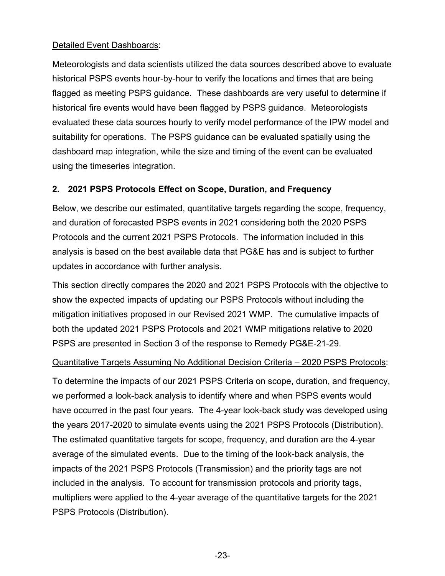### Detailed Event Dashboards:

Meteorologists and data scientists utilized the data sources described above to evaluate historical PSPS events hour-by-hour to verify the locations and times that are being flagged as meeting PSPS guidance. These dashboards are very useful to determine if historical fire events would have been flagged by PSPS guidance. Meteorologists evaluated these data sources hourly to verify model performance of the IPW model and suitability for operations. The PSPS guidance can be evaluated spatially using the dashboard map integration, while the size and timing of the event can be evaluated using the timeseries integration.

# **2. 2021 PSPS Protocols Effect on Scope, Duration, and Frequency**

Below, we describe our estimated, quantitative targets regarding the scope, frequency, and duration of forecasted PSPS events in 2021 considering both the 2020 PSPS Protocols and the current 2021 PSPS Protocols. The information included in this analysis is based on the best available data that PG&E has and is subject to further updates in accordance with further analysis.

This section directly compares the 2020 and 2021 PSPS Protocols with the objective to show the expected impacts of updating our PSPS Protocols without including the mitigation initiatives proposed in our Revised 2021 WMP. The cumulative impacts of both the updated 2021 PSPS Protocols and 2021 WMP mitigations relative to 2020 PSPS are presented in Section 3 of the response to Remedy PG&E-21-29.

### Quantitative Targets Assuming No Additional Decision Criteria – 2020 PSPS Protocols:

To determine the impacts of our 2021 PSPS Criteria on scope, duration, and frequency, we performed a look-back analysis to identify where and when PSPS events would have occurred in the past four years. The 4-year look-back study was developed using the years 2017-2020 to simulate events using the 2021 PSPS Protocols (Distribution). The estimated quantitative targets for scope, frequency, and duration are the 4-year average of the simulated events. Due to the timing of the look-back analysis, the impacts of the 2021 PSPS Protocols (Transmission) and the priority tags are not included in the analysis. To account for transmission protocols and priority tags, multipliers were applied to the 4-year average of the quantitative targets for the 2021 PSPS Protocols (Distribution).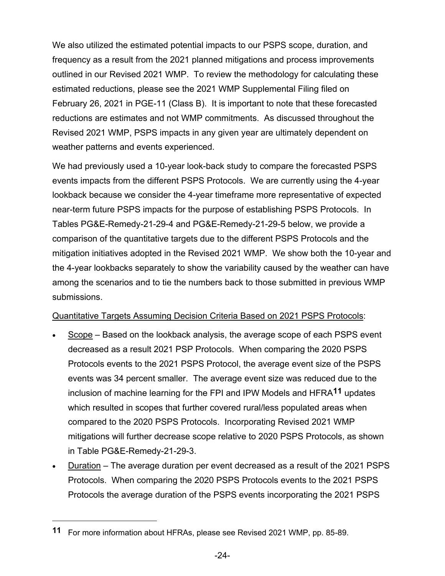We also utilized the estimated potential impacts to our PSPS scope, duration, and frequency as a result from the 2021 planned mitigations and process improvements outlined in our Revised 2021 WMP. To review the methodology for calculating these estimated reductions, please see the 2021 WMP Supplemental Filing filed on February 26, 2021 in PGE-11 (Class B). It is important to note that these forecasted reductions are estimates and not WMP commitments. As discussed throughout the Revised 2021 WMP, PSPS impacts in any given year are ultimately dependent on weather patterns and events experienced.

We had previously used a 10-year look-back study to compare the forecasted PSPS events impacts from the different PSPS Protocols. We are currently using the 4-year lookback because we consider the 4-year timeframe more representative of expected near-term future PSPS impacts for the purpose of establishing PSPS Protocols. In Tables PG&E-Remedy-21-29-4 and PG&E-Remedy-21-29-5 below, we provide a comparison of the quantitative targets due to the different PSPS Protocols and the mitigation initiatives adopted in the Revised 2021 WMP. We show both the 10-year and the 4-year lookbacks separately to show the variability caused by the weather can have among the scenarios and to tie the numbers back to those submitted in previous WMP submissions.

#### Quantitative Targets Assuming Decision Criteria Based on 2021 PSPS Protocols:

- Scope Based on the lookback analysis, the average scope of each PSPS event decreased as a result 2021 PSP Protocols. When comparing the 2020 PSPS Protocols events to the 2021 PSPS Protocol, the average event size of the PSPS events was 34 percent smaller. The average event size was reduced due to the inclusion of machine learning for the FPI and IPW Models and HFRA**11** updates which resulted in scopes that further covered rural/less populated areas when compared to the 2020 PSPS Protocols. Incorporating Revised 2021 WMP mitigations will further decrease scope relative to 2020 PSPS Protocols, as shown in Table PG&E-Remedy-21-29-3.
- Duration The average duration per event decreased as a result of the 2021 PSPS Protocols. When comparing the 2020 PSPS Protocols events to the 2021 PSPS Protocols the average duration of the PSPS events incorporating the 2021 PSPS

**<sup>11</sup>** For more information about HFRAs, please see Revised 2021 WMP, pp. 85-89.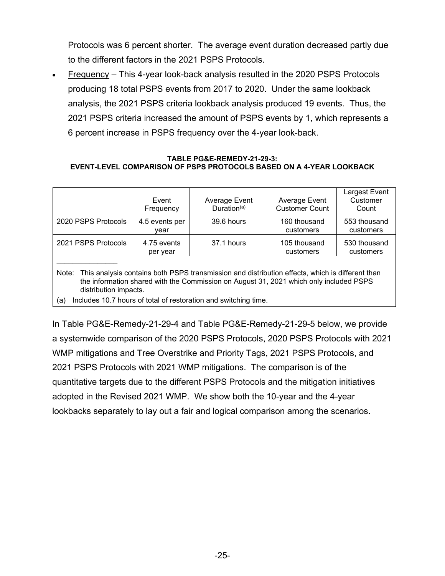Protocols was 6 percent shorter. The average event duration decreased partly due to the different factors in the 2021 PSPS Protocols.

• Frequency – This 4-year look-back analysis resulted in the 2020 PSPS Protocols producing 18 total PSPS events from 2017 to 2020. Under the same lookback analysis, the 2021 PSPS criteria lookback analysis produced 19 events. Thus, the 2021 PSPS criteria increased the amount of PSPS events by 1, which represents a 6 percent increase in PSPS frequency over the 4-year look-back.

#### **TABLE PG&E-REMEDY-21-29-3: EVENT-LEVEL COMPARISON OF PSPS PROTOCOLS BASED ON A 4-YEAR LOOKBACK**

|                                                                                                                                                                                                                                                                                                    | Event<br>Frequency      | Average Event<br>Duration $(a)$ | Average Event<br><b>Customer Count</b> | Largest Event<br>Customer<br>Count |
|----------------------------------------------------------------------------------------------------------------------------------------------------------------------------------------------------------------------------------------------------------------------------------------------------|-------------------------|---------------------------------|----------------------------------------|------------------------------------|
| 2020 PSPS Protocols                                                                                                                                                                                                                                                                                | 4.5 events per<br>vear  | 39.6 hours                      | 160 thousand<br>customers              | 553 thousand<br>customers          |
| 2021 PSPS Protocols                                                                                                                                                                                                                                                                                | 4.75 events<br>per year | 37.1 hours                      | 105 thousand<br>customers              | 530 thousand<br>customers          |
| Note: This analysis contains both PSPS transmission and distribution effects, which is different than<br>the information shared with the Commission on August 31, 2021 which only included PSPS<br>distribution impacts.<br>Includes 10.7 hours of total of restoration and switching time.<br>(a) |                         |                                 |                                        |                                    |

In Table PG&E-Remedy-21-29-4 and Table PG&E-Remedy-21-29-5 below, we provide a systemwide comparison of the 2020 PSPS Protocols, 2020 PSPS Protocols with 2021

WMP mitigations and Tree Overstrike and Priority Tags, 2021 PSPS Protocols, and 2021 PSPS Protocols with 2021 WMP mitigations. The comparison is of the quantitative targets due to the different PSPS Protocols and the mitigation initiatives adopted in the Revised 2021 WMP. We show both the 10-year and the 4-year lookbacks separately to lay out a fair and logical comparison among the scenarios.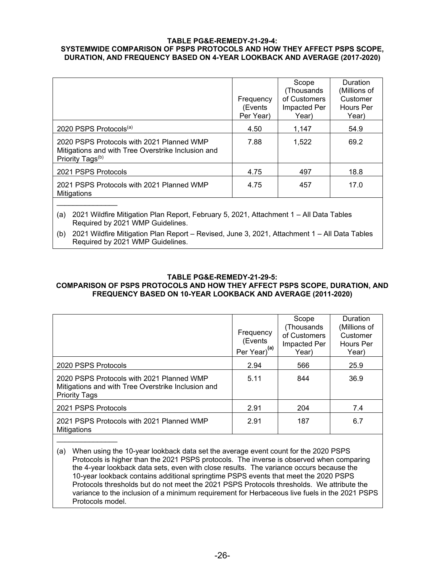#### **TABLE PG&E-REMEDY-21-29-4: SYSTEMWIDE COMPARISON OF PSPS PROTOCOLS AND HOW THEY AFFECT PSPS SCOPE, DURATION, AND FREQUENCY BASED ON 4-YEAR LOOKBACK AND AVERAGE (2017-2020)**

|                                                                                                                                   | Frequency<br>(Events<br>Per Year) | Scope<br>(Thousands<br>of Customers<br>Impacted Per<br>Year) | Duration<br>(Millions of<br>Customer<br>Hours Per<br>Year) |
|-----------------------------------------------------------------------------------------------------------------------------------|-----------------------------------|--------------------------------------------------------------|------------------------------------------------------------|
| 2020 PSPS Protocols <sup>(a)</sup>                                                                                                | 4.50                              | 1.147                                                        | 54.9                                                       |
| 2020 PSPS Protocols with 2021 Planned WMP<br>Mitigations and with Tree Overstrike Inclusion and<br>Priority Tags <sup>(b)</sup>   | 7.88                              | 1,522                                                        | 69.2                                                       |
| 2021 PSPS Protocols                                                                                                               | 4.75                              | 497                                                          | 18.8                                                       |
| 2021 PSPS Protocols with 2021 Planned WMP<br>Mitigations                                                                          | 4.75                              | 457                                                          | 17.0                                                       |
| 2021 Wildfire Mitigation Plan Report, February 5, 2021, Attachment 1 - All Data Tables<br>(a)<br>Required by 2021 WMP Guidelines. |                                   |                                                              |                                                            |

(b) 2021 Wildfire Mitigation Plan Report – Revised, June 3, 2021, Attachment 1 – All Data Tables Required by 2021 WMP Guidelines.

#### **TABLE PG&E-REMEDY-21-29-5:**

#### **COMPARISON OF PSPS PROTOCOLS AND HOW THEY AFFECT PSPS SCOPE, DURATION, AND FREQUENCY BASED ON 10-YEAR LOOKBACK AND AVERAGE (2011-2020)**

|                                                                                                                         | Frequency<br>(Events<br>Per Year) <sup>(a)</sup> | Scope<br>(Thousands<br>of Customers<br>Impacted Per<br>Year) | Duration<br>(Millions of<br>Customer<br>Hours Per<br>Year) |
|-------------------------------------------------------------------------------------------------------------------------|--------------------------------------------------|--------------------------------------------------------------|------------------------------------------------------------|
| 2020 PSPS Protocols                                                                                                     | 2.94                                             | 566                                                          | 25.9                                                       |
| 2020 PSPS Protocols with 2021 Planned WMP<br>Mitigations and with Tree Overstrike Inclusion and<br><b>Priority Tags</b> | 5.11                                             | 844                                                          | 36.9                                                       |
| 2021 PSPS Protocols                                                                                                     | 2.91                                             | 204                                                          | 7.4                                                        |
| 2021 PSPS Protocols with 2021 Planned WMP<br>Mitigations                                                                | 2.91                                             | 187                                                          | 6.7                                                        |

(a) When using the 10-year lookback data set the average event count for the 2020 PSPS Protocols is higher than the 2021 PSPS protocols. The inverse is observed when comparing the 4-year lookback data sets, even with close results. The variance occurs because the 10-year lookback contains additional springtime PSPS events that meet the 2020 PSPS Protocols thresholds but do not meet the 2021 PSPS Protocols thresholds. We attribute the variance to the inclusion of a minimum requirement for Herbaceous live fuels in the 2021 PSPS Protocols model.

\_\_\_\_\_\_\_\_\_\_\_\_\_\_\_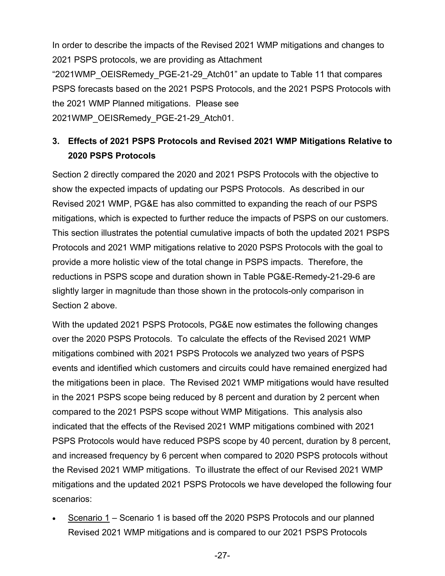In order to describe the impacts of the Revised 2021 WMP mitigations and changes to 2021 PSPS protocols, we are providing as Attachment

"2021WMP\_OEISRemedy\_PGE-21-29\_Atch01" an update to Table 11 that compares PSPS forecasts based on the 2021 PSPS Protocols, and the 2021 PSPS Protocols with the 2021 WMP Planned mitigations. Please see 2021WMP\_OEISRemedy\_PGE-21-29\_Atch01.

# **3. Effects of 2021 PSPS Protocols and Revised 2021 WMP Mitigations Relative to 2020 PSPS Protocols**

Section 2 directly compared the 2020 and 2021 PSPS Protocols with the objective to show the expected impacts of updating our PSPS Protocols. As described in our Revised 2021 WMP, PG&E has also committed to expanding the reach of our PSPS mitigations, which is expected to further reduce the impacts of PSPS on our customers. This section illustrates the potential cumulative impacts of both the updated 2021 PSPS Protocols and 2021 WMP mitigations relative to 2020 PSPS Protocols with the goal to provide a more holistic view of the total change in PSPS impacts. Therefore, the reductions in PSPS scope and duration shown in Table PG&E-Remedy-21-29-6 are slightly larger in magnitude than those shown in the protocols-only comparison in Section 2 above.

With the updated 2021 PSPS Protocols, PG&E now estimates the following changes over the 2020 PSPS Protocols. To calculate the effects of the Revised 2021 WMP mitigations combined with 2021 PSPS Protocols we analyzed two years of PSPS events and identified which customers and circuits could have remained energized had the mitigations been in place. The Revised 2021 WMP mitigations would have resulted in the 2021 PSPS scope being reduced by 8 percent and duration by 2 percent when compared to the 2021 PSPS scope without WMP Mitigations. This analysis also indicated that the effects of the Revised 2021 WMP mitigations combined with 2021 PSPS Protocols would have reduced PSPS scope by 40 percent, duration by 8 percent, and increased frequency by 6 percent when compared to 2020 PSPS protocols without the Revised 2021 WMP mitigations. To illustrate the effect of our Revised 2021 WMP mitigations and the updated 2021 PSPS Protocols we have developed the following four scenarios:

• Scenario 1 – Scenario 1 is based off the 2020 PSPS Protocols and our planned Revised 2021 WMP mitigations and is compared to our 2021 PSPS Protocols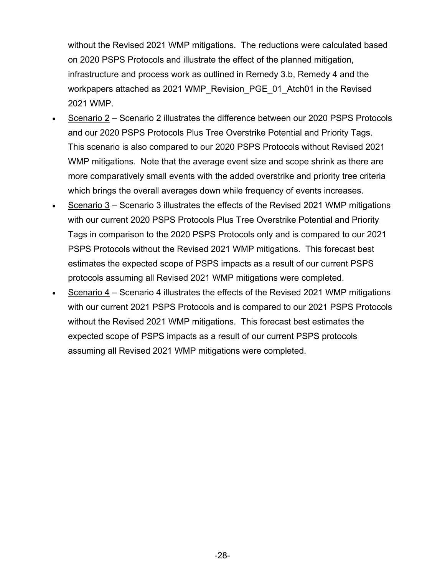without the Revised 2021 WMP mitigations. The reductions were calculated based on 2020 PSPS Protocols and illustrate the effect of the planned mitigation, infrastructure and process work as outlined in Remedy 3.b, Remedy 4 and the workpapers attached as 2021 WMP\_Revision\_PGE\_01\_Atch01 in the Revised 2021 WMP.

- Scenario 2 Scenario 2 illustrates the difference between our 2020 PSPS Protocols and our 2020 PSPS Protocols Plus Tree Overstrike Potential and Priority Tags. This scenario is also compared to our 2020 PSPS Protocols without Revised 2021 WMP mitigations. Note that the average event size and scope shrink as there are more comparatively small events with the added overstrike and priority tree criteria which brings the overall averages down while frequency of events increases.
- Scenario 3 Scenario 3 illustrates the effects of the Revised 2021 WMP mitigations with our current 2020 PSPS Protocols Plus Tree Overstrike Potential and Priority Tags in comparison to the 2020 PSPS Protocols only and is compared to our 2021 PSPS Protocols without the Revised 2021 WMP mitigations. This forecast best estimates the expected scope of PSPS impacts as a result of our current PSPS protocols assuming all Revised 2021 WMP mitigations were completed.
- Scenario 4 Scenario 4 illustrates the effects of the Revised 2021 WMP mitigations with our current 2021 PSPS Protocols and is compared to our 2021 PSPS Protocols without the Revised 2021 WMP mitigations. This forecast best estimates the expected scope of PSPS impacts as a result of our current PSPS protocols assuming all Revised 2021 WMP mitigations were completed.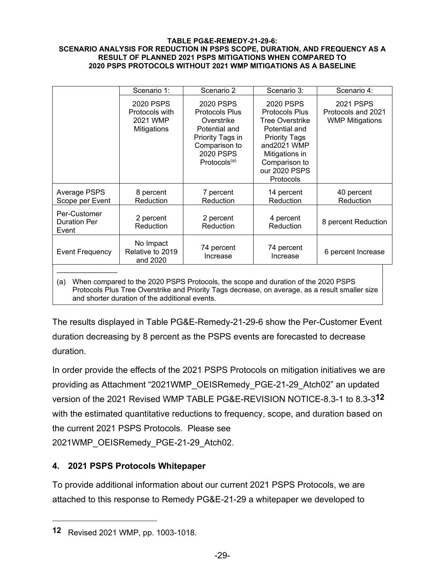#### **TABLE PG&E-REMEDY-21-29-6: SCENARIO ANALYSIS FOR REDUCTION IN PSPS SCOPE, DURATION, AND FREQUENCY AS A RESULT OF PLANNED 2021 PSPS MITIGATIONS WHEN COMPARED TO 2020 PSPS PROTOCOLS WITHOUT 2021 WMP MITIGATIONS AS A BASELINE**

|                                                                                          | Scenario 1:                                            | Scenario 2                                                                                                                                      | Scenario 3:                                                                                                                                                                                  | Scenario 4:                                               |
|------------------------------------------------------------------------------------------|--------------------------------------------------------|-------------------------------------------------------------------------------------------------------------------------------------------------|----------------------------------------------------------------------------------------------------------------------------------------------------------------------------------------------|-----------------------------------------------------------|
|                                                                                          | 2020 PSPS<br>Protocols with<br>2021 WMP<br>Mitigations | 2020 PSPS<br><b>Protocols Plus</b><br>Overstrike<br>Potential and<br>Priority Tags in<br>Comparison to<br>2020 PSPS<br>Protocols <sup>(a)</sup> | 2020 PSPS<br><b>Protocols Plus</b><br><b>Tree Overstrike</b><br>Potential and<br><b>Priority Tags</b><br>and2021 WMP<br>Mitigations in<br>Comparison to<br>our 2020 PSPS<br><b>Protocols</b> | 2021 PSPS<br>Protocols and 2021<br><b>WMP Mitigations</b> |
| Average PSPS<br>Scope per Event                                                          | 8 percent<br>Reduction                                 | 7 percent<br>Reduction                                                                                                                          | 14 percent<br>Reduction                                                                                                                                                                      | 40 percent<br>Reduction                                   |
| Per-Customer<br><b>Duration Per</b><br>Event                                             | 2 percent<br>Reduction                                 | 2 percent<br>Reduction                                                                                                                          | 4 percent<br>Reduction                                                                                                                                                                       | 8 percent Reduction                                       |
| <b>Event Frequency</b>                                                                   | No Impact<br>Relative to 2019<br>and 2020              | 74 percent<br>Increase                                                                                                                          | 74 percent<br>Increase                                                                                                                                                                       | 6 percent Increase                                        |
| When compared to the 2020 PSPS Protocols, the scope and duration of the 2020 PSPS<br>(a) |                                                        |                                                                                                                                                 |                                                                                                                                                                                              |                                                           |

(a) When compared to the 2020 PSPS Protocols, the scope and duration of the 2020 PSPS Protocols Plus Tree Overstrike and Priority Tags decrease, on average, as a result smaller size and shorter duration of the additional events.

The results displayed in Table PG&E-Remedy-21-29-6 show the Per-Customer Event duration decreasing by 8 percent as the PSPS events are forecasted to decrease duration.

In order provide the effects of the 2021 PSPS Protocols on mitigation initiatives we are providing as Attachment "2021WMP\_OEISRemedy\_PGE-21-29\_Atch02" an updated version of the 2021 Revised WMP TABLE PG&E-REVISION NOTICE-8.3-1 to 8.3-3**12** with the estimated quantitative reductions to frequency, scope, and duration based on the current 2021 PSPS Protocols. Please see 2021WMP\_OEISRemedy\_PGE-21-29\_Atch02.

# **4. 2021 PSPS Protocols Whitepaper**

To provide additional information about our current 2021 PSPS Protocols, we are attached to this response to Remedy PG&E-21-29 a whitepaper we developed to

**<sup>12</sup>** Revised 2021 WMP, pp. 1003-1018.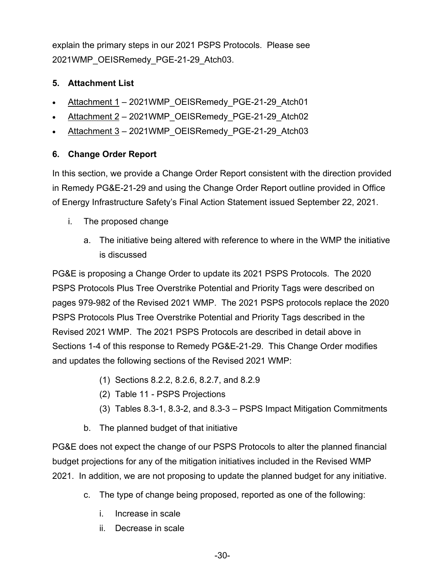explain the primary steps in our 2021 PSPS Protocols. Please see 2021WMP\_OEISRemedy\_PGE-21-29\_Atch03.

# **5. Attachment List**

- Attachment 1 2021WMP\_OEISRemedy\_PGE-21-29\_Atch01
- Attachment 2 2021WMP\_OEISRemedy\_PGE-21-29\_Atch0[2](https://pge.sharepoint.com/:x:/r/sites/CWSP2021WMP/_layouts/15/Doc.aspx?sourcedoc=%7B1D897F37-54B3-4630-B1D8-E5FEB36025B2%7D&file=PGE-21-29%20-%20Part%202%20-%20Table%2011.xlsx&action=default&mobileredirect=true)
- Attachment 3 2021 WMP\_OEISRemedy\_PGE-21-29\_Atch03

# **6. Change Order Report**

In this section, we provide a Change Order Report consistent with the direction provided in Remedy PG&E-21-29 and using the Change Order Report outline provided in Office of Energy Infrastructure Safety's Final Action Statement issued September 22, 2021.

- i. The proposed change
	- a. The initiative being altered with reference to where in the WMP the initiative is discussed

PG&E is proposing a Change Order to update its 2021 PSPS Protocols. The 2020 PSPS Protocols Plus Tree Overstrike Potential and Priority Tags were described on pages 979-982 of the Revised 2021 WMP. The 2021 PSPS protocols replace the 2020 PSPS Protocols Plus Tree Overstrike Potential and Priority Tags described in the Revised 2021 WMP. The 2021 PSPS Protocols are described in detail above in Sections 1-4 of this response to Remedy PG&E-21-29. This Change Order modifies and updates the following sections of the Revised 2021 WMP:

- (1) Sections 8.2.2, 8.2.6, 8.2.7, and 8.2.9
- (2) Table 11 PSPS Projections
- (3) Tables 8.3-1, 8.3-2, and 8.3-3 PSPS Impact Mitigation Commitments
- b. The planned budget of that initiative

PG&E does not expect the change of our PSPS Protocols to alter the planned financial budget projections for any of the mitigation initiatives included in the Revised WMP 2021. In addition, we are not proposing to update the planned budget for any initiative.

- c. The type of change being proposed, reported as one of the following:
	- i. Increase in scale
	- ii. Decrease in scale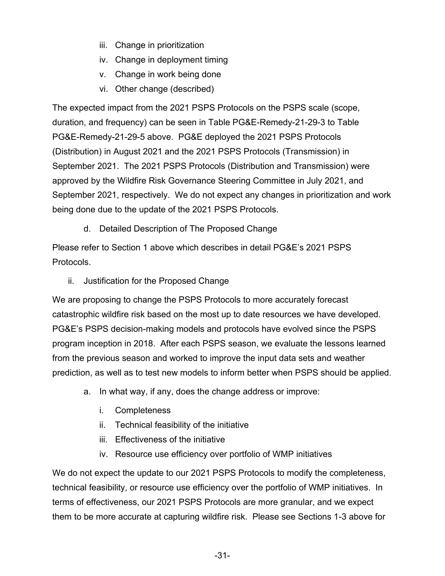- iii. Change in prioritization
- iv. Change in deployment timing
- v. Change in work being done
- vi. Other change (described)

The expected impact from the 2021 PSPS Protocols on the PSPS scale (scope, duration, and frequency) can be seen in Table PG&E-Remedy-21-29-3 to Table PG&E-Remedy-21-29-5 above. PG&E deployed the 2021 PSPS Protocols (Distribution) in August 2021 and the 2021 PSPS Protocols (Transmission) in September 2021. The 2021 PSPS Protocols (Distribution and Transmission) were approved by the Wildfire Risk Governance Steering Committee in July 2021, and September 2021, respectively. We do not expect any changes in prioritization and work being done due to the update of the 2021 PSPS Protocols.

d. Detailed Description of The Proposed Change

Please refer to Section 1 above which describes in detail PG&E's 2021 PSPS Protocols.

ii. Justification for the Proposed Change

We are proposing to change the PSPS Protocols to more accurately forecast catastrophic wildfire risk based on the most up to date resources we have developed. PG&E's PSPS decision-making models and protocols have evolved since the PSPS program inception in 2018. After each PSPS season, we evaluate the lessons learned from the previous season and worked to improve the input data sets and weather prediction, as well as to test new models to inform better when PSPS should be applied.

- a. In what way, if any, does the change address or improve:
	- i. Completeness
	- ii. Technical feasibility of the initiative
	- iii. Effectiveness of the initiative
	- iv. Resource use efficiency over portfolio of WMP initiatives

We do not expect the update to our 2021 PSPS Protocols to modify the completeness, technical feasibility, or resource use efficiency over the portfolio of WMP initiatives. In terms of effectiveness, our 2021 PSPS Protocols are more granular, and we expect them to be more accurate at capturing wildfire risk. Please see Sections 1-3 above for